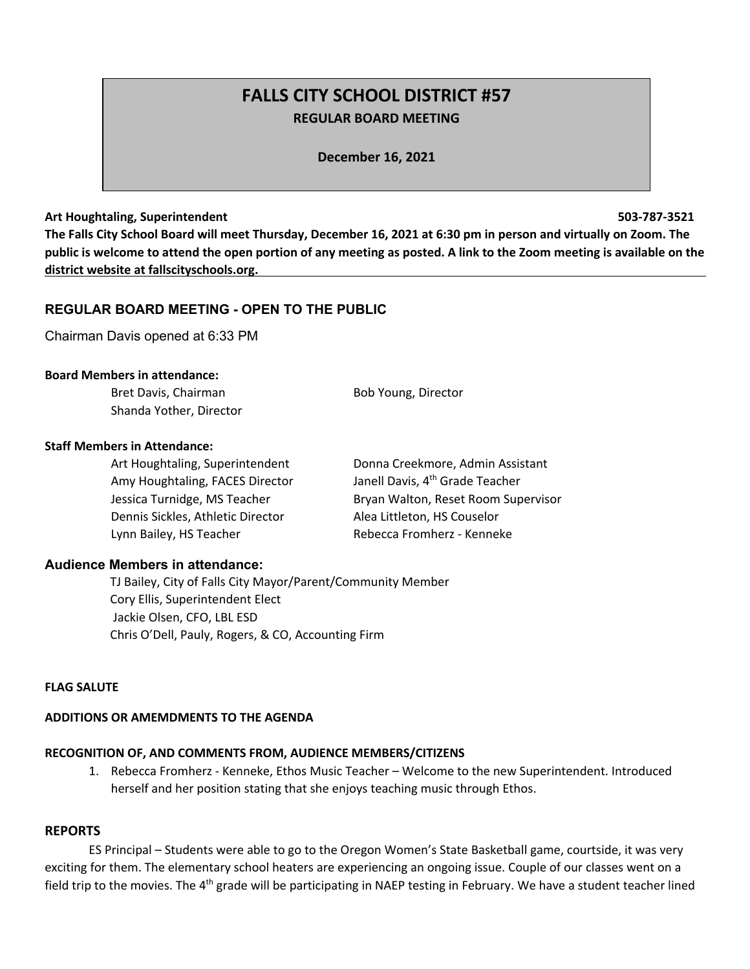# **FALLS CITY SCHOOL DISTRICT #57 REGULAR BOARD MEETING**

**December 16, 2021**

#### **Art Houghtaling, Superintendent 503-787-3521**

**The Falls City School Board will meet Thursday, December 16, 2021 at 6:30 pm in person and virtually on Zoom. The public is welcome to attend the open portion of any meeting as posted. A link to the Zoom meeting is available on the district website at fallscityschools.org.**

# **REGULAR BOARD MEETING - OPEN TO THE PUBLIC**

Chairman Davis opened at 6:33 PM

#### **Board Members in attendance:**

Bret Davis, Chairman Bob Young, Director Shanda Yother, Director

#### **Staff Members in Attendance:**

Art Houghtaling, Superintendent Donna Creekmore, Admin Assistant Amy Houghtaling, FACES Director Janell Davis, 4<sup>th</sup> Grade Teacher Jessica Turnidge, MS Teacher **Bryan Walton, Reset Room Supervisor** Dennis Sickles, Athletic Director Alea Littleton, HS Couselor Lynn Bailey, HS Teacher Rebecca Fromherz - Kenneke

# **Audience Members in attendance:**

 TJ Bailey, City of Falls City Mayor/Parent/Community Member Cory Ellis, Superintendent Elect Jackie Olsen, CFO, LBL ESD Chris O'Dell, Pauly, Rogers, & CO, Accounting Firm

# **FLAG SALUTE**

# **ADDITIONS OR AMEMDMENTS TO THE AGENDA**

# **RECOGNITION OF, AND COMMENTS FROM, AUDIENCE MEMBERS/CITIZENS**

1. Rebecca Fromherz - Kenneke, Ethos Music Teacher – Welcome to the new Superintendent. Introduced herself and her position stating that she enjoys teaching music through Ethos.

#### **REPORTS**

ES Principal – Students were able to go to the Oregon Women's State Basketball game, courtside, it was very exciting for them. The elementary school heaters are experiencing an ongoing issue. Couple of our classes went on a field trip to the movies. The 4<sup>th</sup> grade will be participating in NAEP testing in February. We have a student teacher lined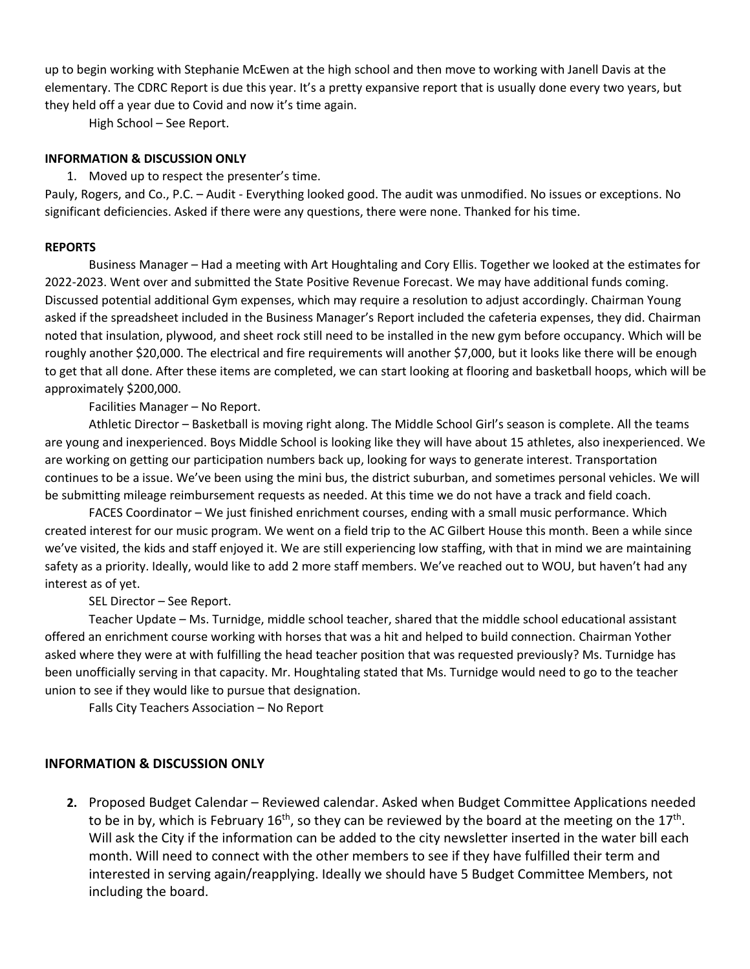up to begin working with Stephanie McEwen at the high school and then move to working with Janell Davis at the elementary. The CDRC Report is due this year. It's a pretty expansive report that is usually done every two years, but they held off a year due to Covid and now it's time again.

High School – See Report.

# **INFORMATION & DISCUSSION ONLY**

1. Moved up to respect the presenter's time.

Pauly, Rogers, and Co., P.C. – Audit - Everything looked good. The audit was unmodified. No issues or exceptions. No significant deficiencies. Asked if there were any questions, there were none. Thanked for his time.

# **REPORTS**

Business Manager – Had a meeting with Art Houghtaling and Cory Ellis. Together we looked at the estimates for 2022-2023. Went over and submitted the State Positive Revenue Forecast. We may have additional funds coming. Discussed potential additional Gym expenses, which may require a resolution to adjust accordingly. Chairman Young asked if the spreadsheet included in the Business Manager's Report included the cafeteria expenses, they did. Chairman noted that insulation, plywood, and sheet rock still need to be installed in the new gym before occupancy. Which will be roughly another \$20,000. The electrical and fire requirements will another \$7,000, but it looks like there will be enough to get that all done. After these items are completed, we can start looking at flooring and basketball hoops, which will be approximately \$200,000.

Facilities Manager – No Report.

Athletic Director – Basketball is moving right along. The Middle School Girl's season is complete. All the teams are young and inexperienced. Boys Middle School is looking like they will have about 15 athletes, also inexperienced. We are working on getting our participation numbers back up, looking for ways to generate interest. Transportation continues to be a issue. We've been using the mini bus, the district suburban, and sometimes personal vehicles. We will be submitting mileage reimbursement requests as needed. At this time we do not have a track and field coach.

FACES Coordinator – We just finished enrichment courses, ending with a small music performance. Which created interest for our music program. We went on a field trip to the AC Gilbert House this month. Been a while since we've visited, the kids and staff enjoyed it. We are still experiencing low staffing, with that in mind we are maintaining safety as a priority. Ideally, would like to add 2 more staff members. We've reached out to WOU, but haven't had any interest as of yet.

SEL Director – See Report.

Teacher Update – Ms. Turnidge, middle school teacher, shared that the middle school educational assistant offered an enrichment course working with horses that was a hit and helped to build connection. Chairman Yother asked where they were at with fulfilling the head teacher position that was requested previously? Ms. Turnidge has been unofficially serving in that capacity. Mr. Houghtaling stated that Ms. Turnidge would need to go to the teacher union to see if they would like to pursue that designation.

Falls City Teachers Association – No Report

# **INFORMATION & DISCUSSION ONLY**

**2.** Proposed Budget Calendar – Reviewed calendar. Asked when Budget Committee Applications needed to be in by, which is February 16<sup>th</sup>, so they can be reviewed by the board at the meeting on the 17<sup>th</sup>. Will ask the City if the information can be added to the city newsletter inserted in the water bill each month. Will need to connect with the other members to see if they have fulfilled their term and interested in serving again/reapplying. Ideally we should have 5 Budget Committee Members, not including the board.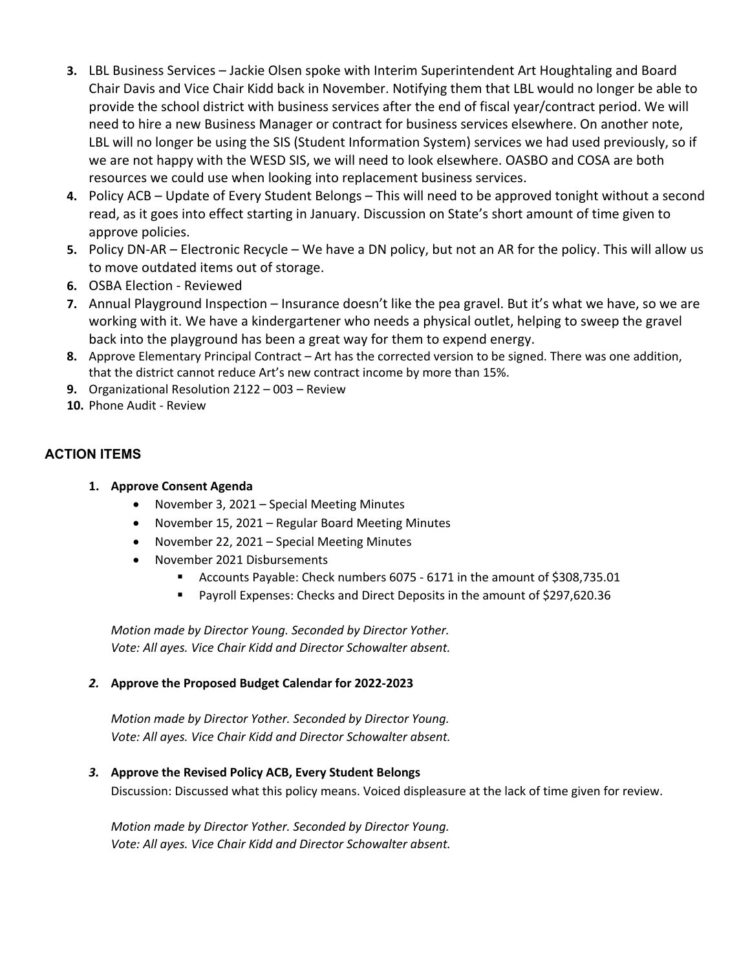- **3.** LBL Business Services Jackie Olsen spoke with Interim Superintendent Art Houghtaling and Board Chair Davis and Vice Chair Kidd back in November. Notifying them that LBL would no longer be able to provide the school district with business services after the end of fiscal year/contract period. We will need to hire a new Business Manager or contract for business services elsewhere. On another note, LBL will no longer be using the SIS (Student Information System) services we had used previously, so if we are not happy with the WESD SIS, we will need to look elsewhere. OASBO and COSA are both resources we could use when looking into replacement business services.
- **4.** Policy ACB Update of Every Student Belongs This will need to be approved tonight without a second read, as it goes into effect starting in January. Discussion on State's short amount of time given to approve policies.
- **5.** Policy DN-AR Electronic Recycle We have a DN policy, but not an AR for the policy. This will allow us to move outdated items out of storage.
- **6.** OSBA Election Reviewed
- **7.** Annual Playground Inspection Insurance doesn't like the pea gravel. But it's what we have, so we are working with it. We have a kindergartener who needs a physical outlet, helping to sweep the gravel back into the playground has been a great way for them to expend energy.
- **8.** Approve Elementary Principal Contract Art has the corrected version to be signed. There was one addition, that the district cannot reduce Art's new contract income by more than 15%.
- **9.** Organizational Resolution 2122 003 Review
- **10.** Phone Audit Review

# **ACTION ITEMS**

- **1. Approve Consent Agenda**
	- November 3, 2021 Special Meeting Minutes
	- November 15, 2021 Regular Board Meeting Minutes
	- November 22, 2021 Special Meeting Minutes
	- November 2021 Disbursements
		- § Accounts Payable: Check numbers 6075 6171 in the amount of \$308,735.01
		- Payroll Expenses: Checks and Direct Deposits in the amount of \$297,620.36

*Motion made by Director Young. Seconded by Director Yother. Vote: All ayes. Vice Chair Kidd and Director Schowalter absent.*

# *2.* **Approve the Proposed Budget Calendar for 2022-2023**

*Motion made by Director Yother. Seconded by Director Young. Vote: All ayes. Vice Chair Kidd and Director Schowalter absent.* 

# *3.* **Approve the Revised Policy ACB, Every Student Belongs**

Discussion: Discussed what this policy means. Voiced displeasure at the lack of time given for review.

*Motion made by Director Yother. Seconded by Director Young. Vote: All ayes. Vice Chair Kidd and Director Schowalter absent.*